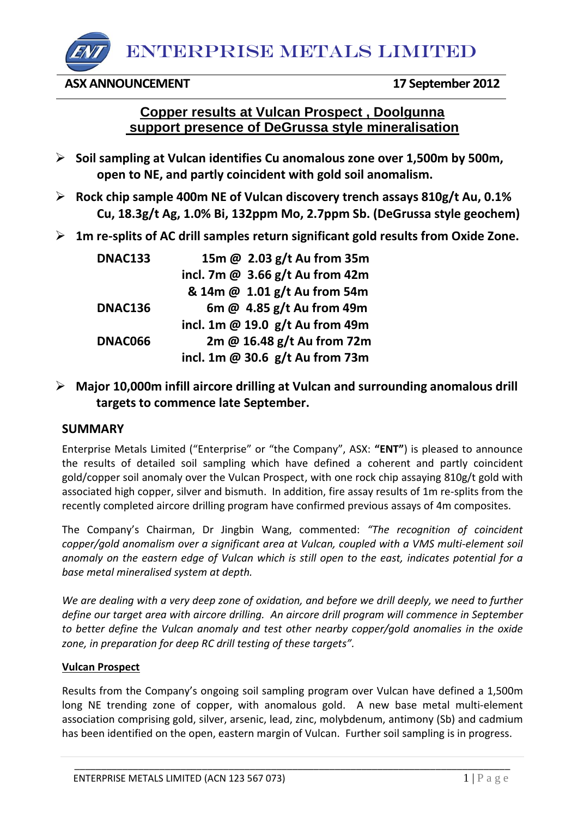ENTERPRISE METALS LIMITED

**ASX ANNOUNCEMENT 17 September 2012** 

# **Copper results at Vulcan Prospect , Doolgunna support presence of DeGrussa style mineralisation**

- **Soil sampling at Vulcan identifies Cu anomalous zone over 1,500m by 500m, open to NE, and partly coincident with gold soil anomalism.**
- **Rock chip sample 400m NE of Vulcan discovery trench assays 810g/t Au, 0.1% Cu, 18.3g/t Ag, 1.0% Bi, 132ppm Mo, 2.7ppm Sb. (DeGrussa style geochem)**
- **1m re-splits of AC drill samples return significant gold results from Oxide Zone.**

| <b>DNAC133</b> | 15m @ 2.03 g/t Au from 35m        |
|----------------|-----------------------------------|
|                | incl. 7m $@$ 3.66 g/t Au from 42m |
|                | & 14m @ 1.01 g/t Au from 54m      |
| <b>DNAC136</b> | 6m @ 4.85 g/t Au from 49m         |
|                | incl. 1m @ 19.0 $g/t$ Au from 49m |
| DNAC066        | 2m @ 16.48 g/t Au from 72m        |
|                | incl. 1m @ 30.6 $g/t$ Au from 73m |

# **Major 10,000m infill aircore drilling at Vulcan and surrounding anomalous drill targets to commence late September.**

## **SUMMARY**

Enterprise Metals Limited ("Enterprise" or "the Company", ASX: **"ENT"**) is pleased to announce the results of detailed soil sampling which have defined a coherent and partly coincident gold/copper soil anomaly over the Vulcan Prospect, with one rock chip assaying 810g/t gold with associated high copper, silver and bismuth. In addition, fire assay results of 1m re-splits from the recently completed aircore drilling program have confirmed previous assays of 4m composites.

The Company's Chairman, Dr Jingbin Wang, commented: *"The recognition of coincident copper/gold anomalism over a significant area at Vulcan, coupled with a VMS multi-element soil anomaly on the eastern edge of Vulcan which is still open to the east, indicates potential for a base metal mineralised system at depth.* 

*We are dealing with a very deep zone of oxidation, and before we drill deeply, we need to further define our target area with aircore drilling. An aircore drill program will commence in September to better define the Vulcan anomaly and test other nearby copper/gold anomalies in the oxide zone, in preparation for deep RC drill testing of these targets".*

## **Vulcan Prospect**

Results from the Company's ongoing soil sampling program over Vulcan have defined a 1,500m long NE trending zone of copper, with anomalous gold. A new base metal multi-element association comprising gold, silver, arsenic, lead, zinc, molybdenum, antimony (Sb) and cadmium has been identified on the open, eastern margin of Vulcan. Further soil sampling is in progress.

\_\_\_\_\_\_\_\_\_\_\_\_\_\_\_\_\_\_\_\_\_\_\_\_\_\_\_\_\_\_\_\_\_\_\_\_\_\_\_\_\_\_\_\_\_\_\_\_\_\_\_\_\_\_\_\_\_\_\_\_\_\_\_\_\_\_\_\_\_\_\_\_\_\_\_\_\_\_\_\_\_\_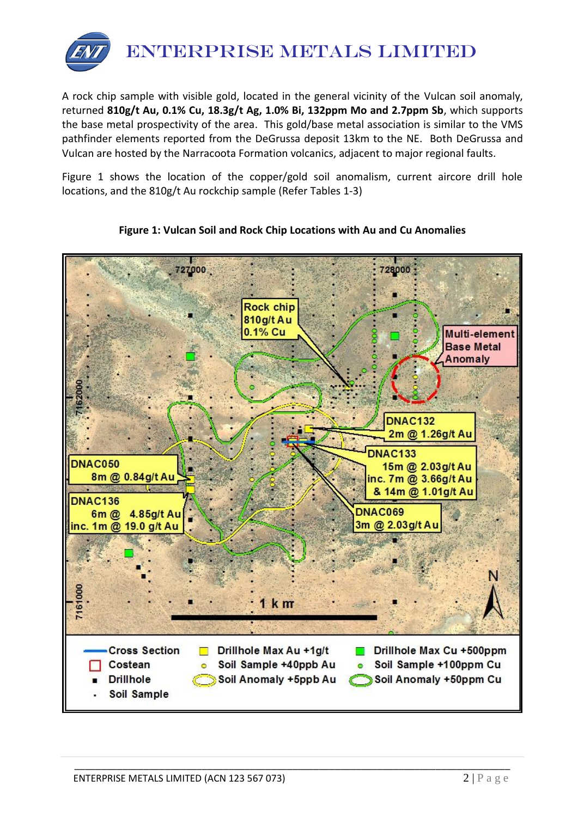

A rock chip sample with visible gold, located in the general vicinity of the Vulcan soil anomaly, returned **810g/t Au, 0.1% Cu, 18.3g/t Ag, 1.0% Bi, 132ppm Mo and 2.7ppm Sb**, which supports the base metal prospectivity of the area. This gold/base metal association is similar to the VMS pathfinder elements reported from the DeGrussa deposit 13km to the NE. Both DeGrussa and Vulcan are hosted by the Narracoota Formation volcanics, adjacent to major regional faults.

Figure 1 shows the location of the copper/gold soil anomalism, current aircore drill hole locations, and the 810g/t Au rockchip sample (Refer Tables 1-3)



\_\_\_\_\_\_\_\_\_\_\_\_\_\_\_\_\_\_\_\_\_\_\_\_\_\_\_\_\_\_\_\_\_\_\_\_\_\_\_\_\_\_\_\_\_\_\_\_\_\_\_\_\_\_\_\_\_\_\_\_\_\_\_\_\_\_\_\_\_\_\_\_\_\_\_\_\_\_\_\_\_\_

## **Figure 1: Vulcan Soil and Rock Chip Locations with Au and Cu Anomalies**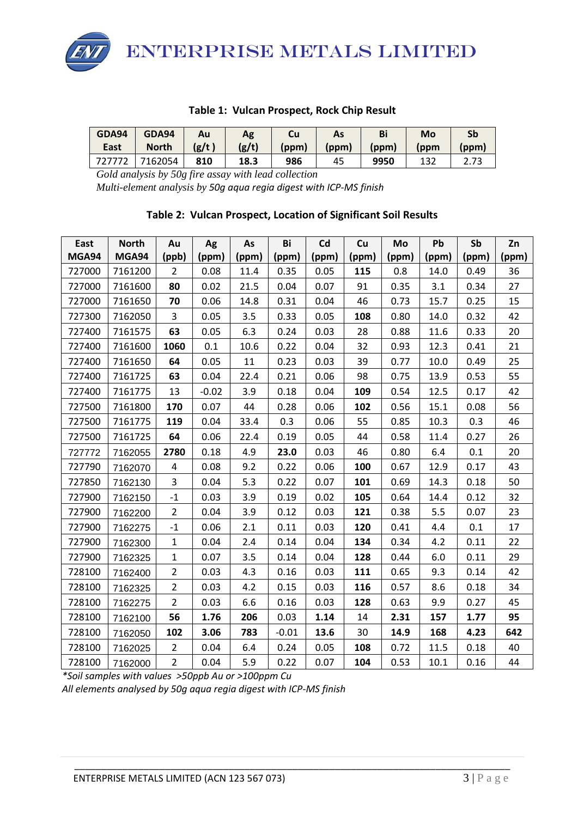ENTERPRISE METALS LIMITED

#### **Table 1: Vulcan Prospect, Rock Chip Result**

| <b>GDA94</b> | GDA94        | Au     | Ag    | Cu    | As    | Bi    | Mo   | Sb    |
|--------------|--------------|--------|-------|-------|-------|-------|------|-------|
| East         | <b>North</b> | (g/t ) | (g/t) | (ppm) | (ppm) | (ppm) | (ppm | (ppm) |
|              | 7162054      | 810    | 18.3  | 986   | 45    | 9950  | 132  | 2.73  |

*Gold analysis by 50g fire assay with lead collection*

*Multi-element analysis by 50g aqua regia digest with ICP-MS finish*

## **Table 2: Vulcan Prospect, Location of Significant Soil Results**

| East   | <b>North</b> | Au                      | Ag      | As    | Bi      | Cd    | Cu    | Mo    | Pb    | Sb    | Zn     |
|--------|--------------|-------------------------|---------|-------|---------|-------|-------|-------|-------|-------|--------|
| MGA94  | MGA94        | (ppb)                   | (ppm)   | (ppm) | (ppm)   | (ppm) | (ppm) | (ppm) | (ppm) | (ppm) | (ppm)  |
| 727000 | 7161200      | $\overline{2}$          | 0.08    | 11.4  | 0.35    | 0.05  | 115   | 0.8   | 14.0  | 0.49  | 36     |
| 727000 | 7161600      | 80                      | 0.02    | 21.5  | 0.04    | 0.07  | 91    | 0.35  | 3.1   | 0.34  | 27     |
| 727000 | 7161650      | 70                      | 0.06    | 14.8  | 0.31    | 0.04  | 46    | 0.73  | 15.7  | 0.25  | 15     |
| 727300 | 7162050      | 3                       | 0.05    | 3.5   | 0.33    | 0.05  | 108   | 0.80  | 14.0  | 0.32  | 42     |
| 727400 | 7161575      | 63                      | 0.05    | 6.3   | 0.24    | 0.03  | 28    | 0.88  | 11.6  | 0.33  | 20     |
| 727400 | 7161600      | 1060                    | 0.1     | 10.6  | 0.22    | 0.04  | 32    | 0.93  | 12.3  | 0.41  | 21     |
| 727400 | 7161650      | 64                      | 0.05    | 11    | 0.23    | 0.03  | 39    | 0.77  | 10.0  | 0.49  | 25     |
| 727400 | 7161725      | 63                      | 0.04    | 22.4  | 0.21    | 0.06  | 98    | 0.75  | 13.9  | 0.53  | 55     |
| 727400 | 7161775      | 13                      | $-0.02$ | 3.9   | 0.18    | 0.04  | 109   | 0.54  | 12.5  | 0.17  | 42     |
| 727500 | 7161800      | 170                     | 0.07    | 44    | 0.28    | 0.06  | 102   | 0.56  | 15.1  | 0.08  | 56     |
| 727500 | 7161775      | 119                     | 0.04    | 33.4  | 0.3     | 0.06  | 55    | 0.85  | 10.3  | 0.3   | 46     |
| 727500 | 7161725      | 64                      | 0.06    | 22.4  | 0.19    | 0.05  | 44    | 0.58  | 11.4  | 0.27  | 26     |
| 727772 | 7162055      | 2780                    | 0.18    | 4.9   | 23.0    | 0.03  | 46    | 0.80  | 6.4   | 0.1   | $20\,$ |
| 727790 | 7162070      | 4                       | 0.08    | 9.2   | 0.22    | 0.06  | 100   | 0.67  | 12.9  | 0.17  | 43     |
| 727850 | 7162130      | $\overline{3}$          | 0.04    | 5.3   | 0.22    | 0.07  | 101   | 0.69  | 14.3  | 0.18  | 50     |
| 727900 | 7162150      | $^{\mbox{{\small -1}}}$ | 0.03    | 3.9   | 0.19    | 0.02  | 105   | 0.64  | 14.4  | 0.12  | 32     |
| 727900 | 7162200      | $\overline{2}$          | 0.04    | 3.9   | 0.12    | 0.03  | 121   | 0.38  | 5.5   | 0.07  | 23     |
| 727900 | 7162275      | $^{\rm -1}$             | 0.06    | 2.1   | 0.11    | 0.03  | 120   | 0.41  | 4.4   | 0.1   | 17     |
| 727900 | 7162300      | $\mathbf 1$             | 0.04    | 2.4   | 0.14    | 0.04  | 134   | 0.34  | 4.2   | 0.11  | 22     |
| 727900 | 7162325      | $\mathbf{1}$            | 0.07    | 3.5   | 0.14    | 0.04  | 128   | 0.44  | 6.0   | 0.11  | 29     |
| 728100 | 7162400      | $\overline{2}$          | 0.03    | 4.3   | 0.16    | 0.03  | 111   | 0.65  | 9.3   | 0.14  | 42     |
| 728100 | 7162325      | $\overline{2}$          | 0.03    | 4.2   | 0.15    | 0.03  | 116   | 0.57  | 8.6   | 0.18  | 34     |
| 728100 | 7162275      | $\overline{2}$          | 0.03    | 6.6   | 0.16    | 0.03  | 128   | 0.63  | 9.9   | 0.27  | 45     |
| 728100 | 7162100      | 56                      | 1.76    | 206   | 0.03    | 1.14  | 14    | 2.31  | 157   | 1.77  | 95     |
| 728100 | 7162050      | 102                     | 3.06    | 783   | $-0.01$ | 13.6  | 30    | 14.9  | 168   | 4.23  | 642    |
| 728100 | 7162025      | $\overline{2}$          | 0.04    | 6.4   | 0.24    | 0.05  | 108   | 0.72  | 11.5  | 0.18  | 40     |
| 728100 | 7162000      | $\overline{2}$          | 0.04    | 5.9   | 0.22    | 0.07  | 104   | 0.53  | 10.1  | 0.16  | 44     |

\_\_\_\_\_\_\_\_\_\_\_\_\_\_\_\_\_\_\_\_\_\_\_\_\_\_\_\_\_\_\_\_\_\_\_\_\_\_\_\_\_\_\_\_\_\_\_\_\_\_\_\_\_\_\_\_\_\_\_\_\_\_\_\_\_\_\_\_\_\_\_\_\_\_\_\_\_\_\_\_\_\_

*\*Soil samples with values >50ppb Au or >100ppm Cu*

*All elements analysed by 50g aqua regia digest with ICP-MS finish*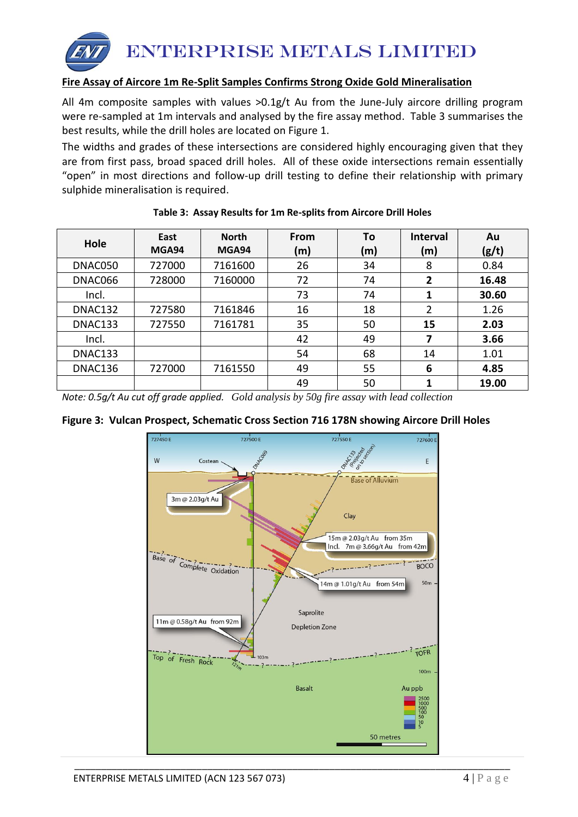

## **Fire Assay of Aircore 1m Re-Split Samples Confirms Strong Oxide Gold Mineralisation**

All 4m composite samples with values  $>0.1g/t$  Au from the June-July aircore drilling program were re-sampled at 1m intervals and analysed by the fire assay method. Table 3 summarises the best results, while the drill holes are located on Figure 1.

The widths and grades of these intersections are considered highly encouraging given that they are from first pass, broad spaced drill holes. All of these oxide intersections remain essentially "open" in most directions and follow-up drill testing to define their relationship with primary sulphide mineralisation is required.

| Hole    | East<br>MGA94 | <b>North</b><br>MGA94 | From<br>(m) | To<br>(m) | <b>Interval</b><br>(m) | Au<br>(g/t) |
|---------|---------------|-----------------------|-------------|-----------|------------------------|-------------|
| DNAC050 | 727000        | 7161600               | 26          | 34        | 8                      | 0.84        |
| DNAC066 | 728000        | 7160000               | 72          | 74        | $\overline{2}$         | 16.48       |
| Incl.   |               |                       | 73          | 74        | 1                      | 30.60       |
| DNAC132 | 727580        | 7161846               | 16          | 18        | 2                      | 1.26        |
| DNAC133 | 727550        | 7161781               | 35          | 50        | 15                     | 2.03        |
| Incl.   |               |                       | 42          | 49        | 7                      | 3.66        |
| DNAC133 |               |                       | 54          | 68        | 14                     | 1.01        |
| DNAC136 | 727000        | 7161550               | 49          | 55        | 6                      | 4.85        |
|         |               |                       | 49          | 50        |                        | 19.00       |

|  |  |  | Table 3: Assay Results for 1m Re-splits from Aircore Drill Holes |
|--|--|--|------------------------------------------------------------------|
|--|--|--|------------------------------------------------------------------|

*Note: 0.5g/t Au cut off grade applied. Gold analysis by 50g fire assay with lead collection*

#### **Figure 3: Vulcan Prospect, Schematic Cross Section 716 178N showing Aircore Drill Holes**